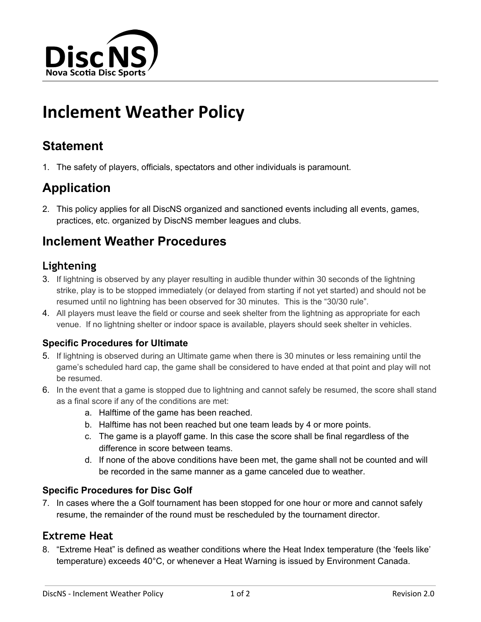

# **Inclement Weather Policy**

# **Statement**

1. The safety of players, officials, spectators and other individuals is paramount.

# **Application**

2. This policy applies for all DiscNS organized and sanctioned events including all events, games, practices, etc. organized by DiscNS member leagues and clubs.

# **Inclement Weather Procedures**

## **Lightening**

- 3. If lightning is observed by any player resulting in audible thunder within 30 seconds of the lightning strike, play is to be stopped immediately (or delayed from starting if not yet started) and should not be resumed until no lightning has been observed for 30 minutes. This is the "30/30 rule".
- 4. All players must leave the field or course and seek shelter from the lightning as appropriate for each venue. If no lightning shelter or indoor space is available, players should seek shelter in vehicles.

### **Specific Procedures for Ultimate**

- 5. If lightning is observed during an Ultimate game when there is 30 minutes or less remaining until the game's scheduled hard cap, the game shall be considered to have ended at that point and play will not be resumed.
- 6. In the event that a game is stopped due to lightning and cannot safely be resumed, the score shall stand as a final score if any of the conditions are met:
	- a. Halftime of the game has been reached.
	- b. Halftime has not been reached but one team leads by 4 or more points.
	- c. The game is a playoff game. In this case the score shall be final regardless of the difference in score between teams.
	- d. If none of the above conditions have been met, the game shall not be counted and will be recorded in the same manner as a game canceled due to weather.

### **Specific Procedures for Disc Golf**

7. In cases where the a Golf tournament has been stopped for one hour or more and cannot safely resume, the remainder of the round must be rescheduled by the tournament director.

## **Extreme Heat**

8. "Extreme Heat" is defined as weather conditions where the Heat Index temperature (the 'feels like' temperature) exceeds 40°C, or whenever a Heat Warning is issued by Environment Canada.